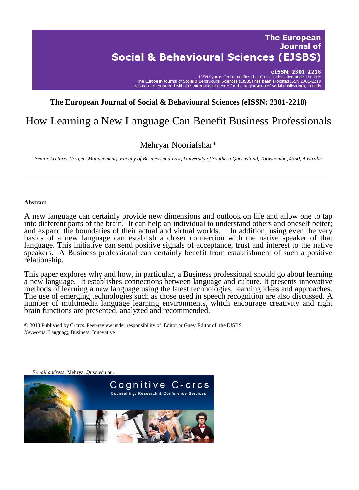**Journal of Social & Behavioural Sciences (EJSBS)** 

> eISSN: 2301-2218 ISSN Cyprus Centre notifies that C-crcs' publication under the title s unication in the European Journal of Social & Behavioural Sciences (EJSBS) has been allocated ISSN 2301-2218<br>8. Respectively a Sciences (EJSBS) has been allocated ISSN 2301-2218<br>8. Nas been registered with the Internatio

**The European** 

# **The European Journal of Social & Behavioural Sciences (eISSN: 2301-2218)**

# How Learning a New Language Can Benefit Business Professionals

## Mehryar Nooriafshar\*

*Senior Lecturer (Project Management), Faculty of Business and Law, University of Southern Queensland, Toowoomba, 4350, Australia* 

#### **Abstract**

A new language can certainly provide new dimensions and outlook on life and allow one to tap into different parts of the brain. It can help an individual to understand others and oneself better; and expand the boundaries of their actual and virtual worlds. In addition, using even the very and expand the boundaries of their actual and virtual worlds. basics of a new language can establish a closer connection with the native speaker of that language. This initiative can send positive signals of acceptance, trust and interest to the native speakers. A Business professional can certainly benefit from establishment of such a positive relationship.

This paper explores why and how, in particular, a Business professional should go about learning a new language. It establishes connections between language and culture. It presents innovative methods of learning a new language using the latest technologies, learning ideas and approaches. The use of emerging technologies such as those used in speech recognition are also discussed. A number of multimedia language learning environments, which encourage creativity and right brain functions are presented, analyzed and recommended.

© 2013 Published by C-crcs. Peer-review under responsibility of Editor or Guest Editor of the EJSBS. *Keywords*: Languag;, Business; Innovative

*E-mail address*: Mehryar@usq.edu.au.Cognitive C-crcs Counselling, Research & Conference Services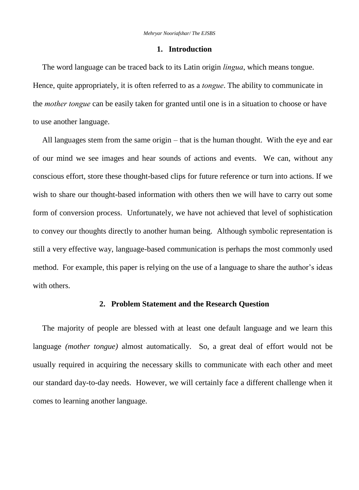#### **1. Introduction**

The word language can be traced back to its Latin origin *lingua*, which means tongue. Hence, quite appropriately, it is often referred to as a *tongue*. The ability to communicate in the *mother tongue* can be easily taken for granted until one is in a situation to choose or have to use another language.

All languages stem from the same origin – that is the human thought. With the eye and ear of our mind we see images and hear sounds of actions and events. We can, without any conscious effort, store these thought-based clips for future reference or turn into actions. If we wish to share our thought-based information with others then we will have to carry out some form of conversion process. Unfortunately, we have not achieved that level of sophistication to convey our thoughts directly to another human being. Although symbolic representation is still a very effective way, language-based communication is perhaps the most commonly used method. For example, this paper is relying on the use of a language to share the author's ideas with others.

## **2. Problem Statement and the Research Question**

The majority of people are blessed with at least one default language and we learn this language *(mother tongue)* almost automatically. So, a great deal of effort would not be usually required in acquiring the necessary skills to communicate with each other and meet our standard day-to-day needs. However, we will certainly face a different challenge when it comes to learning another language.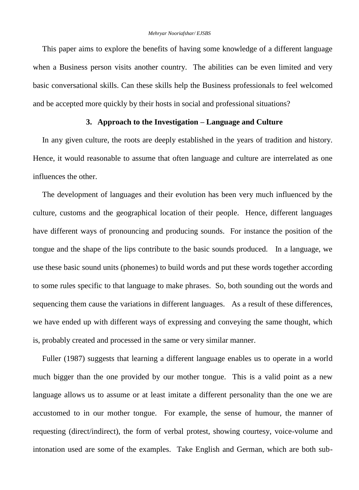This paper aims to explore the benefits of having some knowledge of a different language when a Business person visits another country. The abilities can be even limited and very basic conversational skills. Can these skills help the Business professionals to feel welcomed and be accepted more quickly by their hosts in social and professional situations?

### **3. Approach to the Investigation – Language and Culture**

In any given culture, the roots are deeply established in the years of tradition and history. Hence, it would reasonable to assume that often language and culture are interrelated as one influences the other.

The development of languages and their evolution has been very much influenced by the culture, customs and the geographical location of their people. Hence, different languages have different ways of pronouncing and producing sounds. For instance the position of the tongue and the shape of the lips contribute to the basic sounds produced. In a language, we use these basic sound units (phonemes) to build words and put these words together according to some rules specific to that language to make phrases. So, both sounding out the words and sequencing them cause the variations in different languages. As a result of these differences, we have ended up with different ways of expressing and conveying the same thought, which is, probably created and processed in the same or very similar manner.

Fuller (1987) suggests that learning a different language enables us to operate in a world much bigger than the one provided by our mother tongue. This is a valid point as a new language allows us to assume or at least imitate a different personality than the one we are accustomed to in our mother tongue. For example, the sense of humour, the manner of requesting (direct/indirect), the form of verbal protest, showing courtesy, voice-volume and intonation used are some of the examples. Take English and German, which are both sub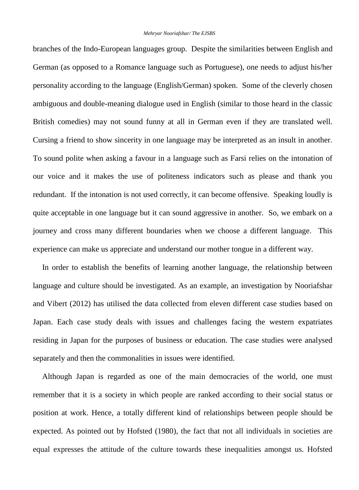branches of the Indo-European languages group. Despite the similarities between English and German (as opposed to a Romance language such as Portuguese), one needs to adjust his/her personality according to the language (English/German) spoken. Some of the cleverly chosen ambiguous and double-meaning dialogue used in English (similar to those heard in the classic British comedies) may not sound funny at all in German even if they are translated well. Cursing a friend to show sincerity in one language may be interpreted as an insult in another. To sound polite when asking a favour in a language such as Farsi relies on the intonation of our voice and it makes the use of politeness indicators such as please and thank you redundant. If the intonation is not used correctly, it can become offensive. Speaking loudly is quite acceptable in one language but it can sound aggressive in another. So, we embark on a journey and cross many different boundaries when we choose a different language. This experience can make us appreciate and understand our mother tongue in a different way.

In order to establish the benefits of learning another language, the relationship between language and culture should be investigated. As an example, an investigation by Nooriafshar and Vibert (2012) has utilised the data collected from eleven different case studies based on Japan. Each case study deals with issues and challenges facing the western expatriates residing in Japan for the purposes of business or education. The case studies were analysed separately and then the commonalities in issues were identified.

Although Japan is regarded as one of the main democracies of the world, one must remember that it is a society in which people are ranked according to their social status or position at work. Hence, a totally different kind of relationships between people should be expected. As pointed out by Hofsted (1980), the fact that not all individuals in societies are equal expresses the attitude of the culture towards these inequalities amongst us. Hofsted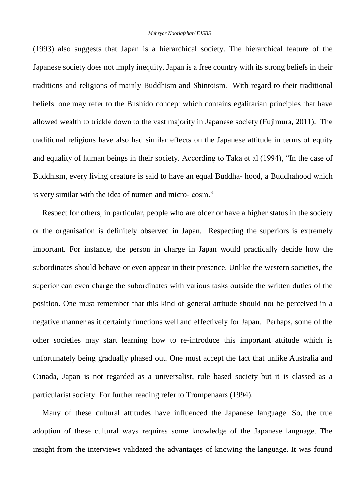(1993) also suggests that Japan is a hierarchical society. The hierarchical feature of the Japanese society does not imply inequity. Japan is a free country with its strong beliefs in their traditions and religions of mainly Buddhism and Shintoism. With regard to their traditional beliefs, one may refer to the Bushido concept which contains egalitarian principles that have allowed wealth to trickle down to the vast majority in Japanese society (Fujimura, 2011). The traditional religions have also had similar effects on the Japanese attitude in terms of equity and equality of human beings in their society. According to Taka et al (1994), "In the case of Buddhism, every living creature is said to have an equal Buddha- hood, a Buddhahood which is very similar with the idea of numen and micro- cosm."

Respect for others, in particular, people who are older or have a higher status in the society or the organisation is definitely observed in Japan. Respecting the superiors is extremely important. For instance, the person in charge in Japan would practically decide how the subordinates should behave or even appear in their presence. Unlike the western societies, the superior can even charge the subordinates with various tasks outside the written duties of the position. One must remember that this kind of general attitude should not be perceived in a negative manner as it certainly functions well and effectively for Japan. Perhaps, some of the other societies may start learning how to re-introduce this important attitude which is unfortunately being gradually phased out. One must accept the fact that unlike Australia and Canada, Japan is not regarded as a universalist, rule based society but it is classed as a particularist society. For further reading refer to Trompenaars (1994).

Many of these cultural attitudes have influenced the Japanese language. So, the true adoption of these cultural ways requires some knowledge of the Japanese language. The insight from the interviews validated the advantages of knowing the language. It was found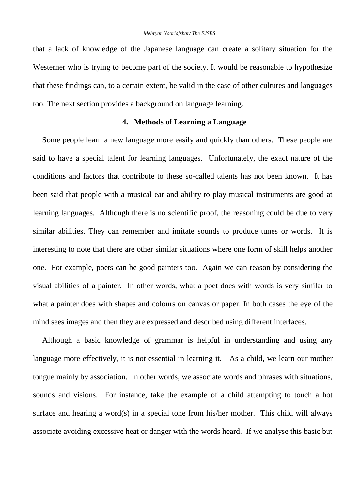that a lack of knowledge of the Japanese language can create a solitary situation for the Westerner who is trying to become part of the society. It would be reasonable to hypothesize that these findings can, to a certain extent, be valid in the case of other cultures and languages too. The next section provides a background on language learning.

### **4. Methods of Learning a Language**

Some people learn a new language more easily and quickly than others. These people are said to have a special talent for learning languages. Unfortunately, the exact nature of the conditions and factors that contribute to these so-called talents has not been known. It has been said that people with a musical ear and ability to play musical instruments are good at learning languages. Although there is no scientific proof, the reasoning could be due to very similar abilities. They can remember and imitate sounds to produce tunes or words. It is interesting to note that there are other similar situations where one form of skill helps another one. For example, poets can be good painters too. Again we can reason by considering the visual abilities of a painter. In other words, what a poet does with words is very similar to what a painter does with shapes and colours on canvas or paper. In both cases the eye of the mind sees images and then they are expressed and described using different interfaces.

Although a basic knowledge of grammar is helpful in understanding and using any language more effectively, it is not essential in learning it. As a child, we learn our mother tongue mainly by association. In other words, we associate words and phrases with situations, sounds and visions. For instance, take the example of a child attempting to touch a hot surface and hearing a word(s) in a special tone from his/her mother. This child will always associate avoiding excessive heat or danger with the words heard. If we analyse this basic but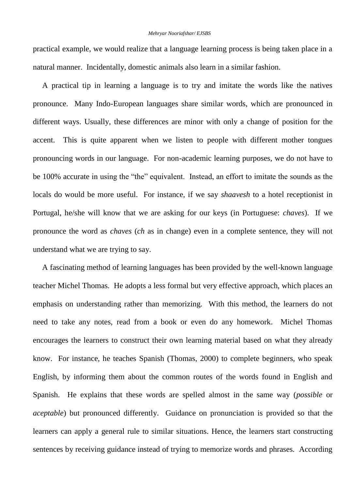#### *Mehryar Nooriafshar/ EJSBS*

practical example, we would realize that a language learning process is being taken place in a natural manner. Incidentally, domestic animals also learn in a similar fashion.

A practical tip in learning a language is to try and imitate the words like the natives pronounce. Many Indo-European languages share similar words, which are pronounced in different ways. Usually, these differences are minor with only a change of position for the accent. This is quite apparent when we listen to people with different mother tongues pronouncing words in our language. For non-academic learning purposes, we do not have to be 100% accurate in using the "the" equivalent. Instead, an effort to imitate the sounds as the locals do would be more useful. For instance, if we say *shaavesh* to a hotel receptionist in Portugal, he/she will know that we are asking for our keys (in Portuguese: *chaves*). If we pronounce the word as *chaves* (*ch* as in change) even in a complete sentence, they will not understand what we are trying to say.

A fascinating method of learning languages has been provided by the well-known language teacher Michel Thomas. He adopts a less formal but very effective approach, which places an emphasis on understanding rather than memorizing. With this method, the learners do not need to take any notes, read from a book or even do any homework. Michel Thomas encourages the learners to construct their own learning material based on what they already know. For instance, he teaches Spanish (Thomas, 2000) to complete beginners, who speak English, by informing them about the common routes of the words found in English and Spanish. He explains that these words are spelled almost in the same way (*possible* or *aceptable*) but pronounced differently. Guidance on pronunciation is provided so that the learners can apply a general rule to similar situations. Hence, the learners start constructing sentences by receiving guidance instead of trying to memorize words and phrases. According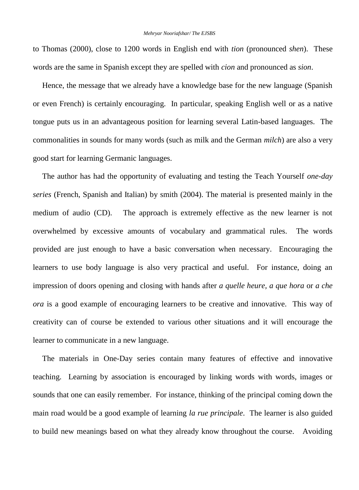to Thomas (2000), close to 1200 words in English end with *tion* (pronounced *shen*). These words are the same in Spanish except they are spelled with *cion* and pronounced as *sion*.

Hence, the message that we already have a knowledge base for the new language (Spanish or even French) is certainly encouraging. In particular, speaking English well or as a native tongue puts us in an advantageous position for learning several Latin-based languages. The commonalities in sounds for many words (such as milk and the German *milch*) are also a very good start for learning Germanic languages.

The author has had the opportunity of evaluating and testing the Teach Yourself *one-day series* (French, Spanish and Italian) by smith (2004). The material is presented mainly in the medium of audio (CD). The approach is extremely effective as the new learner is not overwhelmed by excessive amounts of vocabulary and grammatical rules. The words provided are just enough to have a basic conversation when necessary. Encouraging the learners to use body language is also very practical and useful. For instance, doing an impression of doors opening and closing with hands after *a quelle heure, a que hora* or *a che ora* is a good example of encouraging learners to be creative and innovative. This way of creativity can of course be extended to various other situations and it will encourage the learner to communicate in a new language.

The materials in One-Day series contain many features of effective and innovative teaching. Learning by association is encouraged by linking words with words, images or sounds that one can easily remember. For instance, thinking of the principal coming down the main road would be a good example of learning *la rue principale*. The learner is also guided to build new meanings based on what they already know throughout the course. Avoiding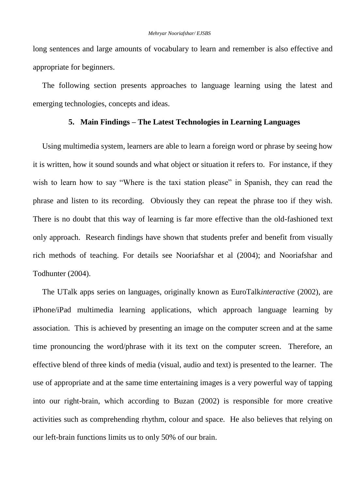long sentences and large amounts of vocabulary to learn and remember is also effective and appropriate for beginners.

The following section presents approaches to language learning using the latest and emerging technologies, concepts and ideas.

## **5. Main Findings – The Latest Technologies in Learning Languages**

Using multimedia system, learners are able to learn a foreign word or phrase by seeing how it is written, how it sound sounds and what object or situation it refers to. For instance, if they wish to learn how to say "Where is the taxi station please" in Spanish, they can read the phrase and listen to its recording. Obviously they can repeat the phrase too if they wish. There is no doubt that this way of learning is far more effective than the old-fashioned text only approach. Research findings have shown that students prefer and benefit from visually rich methods of teaching. For details see Nooriafshar et al (2004); and Nooriafshar and Todhunter (2004).

The UTalk apps series on languages, originally known as EuroTalk*interactive* (2002), are iPhone/iPad multimedia learning applications, which approach language learning by association. This is achieved by presenting an image on the computer screen and at the same time pronouncing the word/phrase with it its text on the computer screen. Therefore, an effective blend of three kinds of media (visual, audio and text) is presented to the learner. The use of appropriate and at the same time entertaining images is a very powerful way of tapping into our right-brain, which according to Buzan (2002) is responsible for more creative activities such as comprehending rhythm, colour and space. He also believes that relying on our left-brain functions limits us to only 50% of our brain.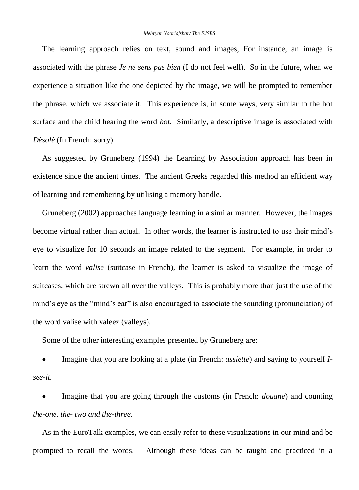The learning approach relies on text, sound and images, For instance, an image is associated with the phrase *Je ne sens pas bien* (I do not feel well). So in the future, when we experience a situation like the one depicted by the image, we will be prompted to remember the phrase, which we associate it. This experience is, in some ways, very similar to the hot surface and the child hearing the word *hot*. Similarly, a descriptive image is associated with *Dèsolè* (In French: sorry)

As suggested by Gruneberg (1994) the Learning by Association approach has been in existence since the ancient times. The ancient Greeks regarded this method an efficient way of learning and remembering by utilising a memory handle.

Gruneberg (2002) approaches language learning in a similar manner. However, the images become virtual rather than actual. In other words, the learner is instructed to use their mind's eye to visualize for 10 seconds an image related to the segment. For example, in order to learn the word *valise* (suitcase in French), the learner is asked to visualize the image of suitcases, which are strewn all over the valleys. This is probably more than just the use of the mind's eye as the "mind's ear" is also encouraged to associate the sounding (pronunciation) of the word valise with valeez (valleys).

Some of the other interesting examples presented by Gruneberg are:

 Imagine that you are looking at a plate (in French: *assiette*) and saying to yourself *Isee-it.*

 Imagine that you are going through the customs (in French: *douane*) and counting *the-one, the- two and the-three.*

As in the EuroTalk examples, we can easily refer to these visualizations in our mind and be prompted to recall the words. Although these ideas can be taught and practiced in a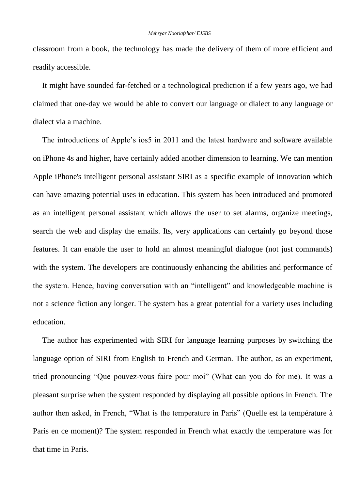classroom from a book, the technology has made the delivery of them of more efficient and readily accessible.

It might have sounded far-fetched or a technological prediction if a few years ago, we had claimed that one-day we would be able to convert our language or dialect to any language or dialect via a machine.

The introductions of Apple's ios5 in 2011 and the latest hardware and software available on iPhone 4s and higher, have certainly added another dimension to learning. We can mention Apple iPhone's intelligent personal assistant SIRI as a specific example of innovation which can have amazing potential uses in education. This system has been introduced and promoted as an intelligent personal assistant which allows the user to set alarms, organize meetings, search the web and display the emails. Its, very applications can certainly go beyond those features. It can enable the user to hold an almost meaningful dialogue (not just commands) with the system. The developers are continuously enhancing the abilities and performance of the system. Hence, having conversation with an "intelligent" and knowledgeable machine is not a science fiction any longer. The system has a great potential for a variety uses including education.

The author has experimented with SIRI for language learning purposes by switching the language option of SIRI from English to French and German. The author, as an experiment, tried pronouncing "Que pouvez-vous faire pour moi" (What can you do for me). It was a pleasant surprise when the system responded by displaying all possible options in French. The author then asked, in French, "What is the temperature in Paris" (Quelle est la température à Paris en ce moment)? The system responded in French what exactly the temperature was for that time in Paris.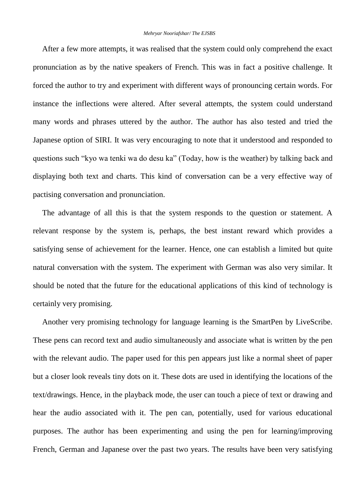After a few more attempts, it was realised that the system could only comprehend the exact pronunciation as by the native speakers of French. This was in fact a positive challenge. It forced the author to try and experiment with different ways of pronouncing certain words. For instance the inflections were altered. After several attempts, the system could understand many words and phrases uttered by the author. The author has also tested and tried the Japanese option of SIRI. It was very encouraging to note that it understood and responded to questions such "kyo wa tenki wa do desu ka" (Today, how is the weather) by talking back and displaying both text and charts. This kind of conversation can be a very effective way of pactising conversation and pronunciation.

The advantage of all this is that the system responds to the question or statement. A relevant response by the system is, perhaps, the best instant reward which provides a satisfying sense of achievement for the learner. Hence, one can establish a limited but quite natural conversation with the system. The experiment with German was also very similar. It should be noted that the future for the educational applications of this kind of technology is certainly very promising.

Another very promising technology for language learning is the SmartPen by LiveScribe. These pens can record text and audio simultaneously and associate what is written by the pen with the relevant audio. The paper used for this pen appears just like a normal sheet of paper but a closer look reveals tiny dots on it. These dots are used in identifying the locations of the text/drawings. Hence, in the playback mode, the user can touch a piece of text or drawing and hear the audio associated with it. The pen can, potentially, used for various educational purposes. The author has been experimenting and using the pen for learning/improving French, German and Japanese over the past two years. The results have been very satisfying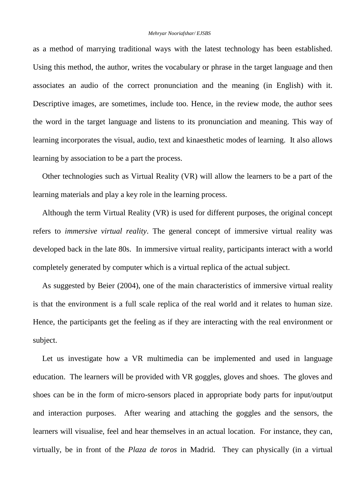#### *Mehryar Nooriafshar/ EJSBS*

as a method of marrying traditional ways with the latest technology has been established. Using this method, the author, writes the vocabulary or phrase in the target language and then associates an audio of the correct pronunciation and the meaning (in English) with it. Descriptive images, are sometimes, include too. Hence, in the review mode, the author sees the word in the target language and listens to its pronunciation and meaning. This way of learning incorporates the visual, audio, text and kinaesthetic modes of learning. It also allows learning by association to be a part the process.

Other technologies such as Virtual Reality (VR) will allow the learners to be a part of the learning materials and play a key role in the learning process.

Although the term Virtual Reality (VR) is used for different purposes, the original concept refers to *immersive virtual reality*. The general concept of immersive virtual reality was developed back in the late 80s. In immersive virtual reality, participants interact with a world completely generated by computer which is a virtual replica of the actual subject.

As suggested by Beier (2004), one of the main characteristics of immersive virtual reality is that the environment is a full scale replica of the real world and it relates to human size. Hence, the participants get the feeling as if they are interacting with the real environment or subject.

Let us investigate how a VR multimedia can be implemented and used in language education. The learners will be provided with VR goggles, gloves and shoes. The gloves and shoes can be in the form of micro-sensors placed in appropriate body parts for input/output and interaction purposes. After wearing and attaching the goggles and the sensors, the learners will visualise, feel and hear themselves in an actual location. For instance, they can, virtually, be in front of the *Plaza de toros* in Madrid. They can physically (in a virtual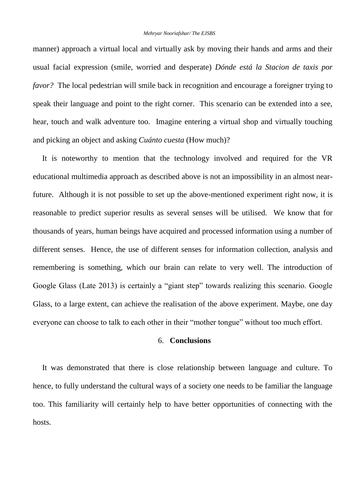manner) approach a virtual local and virtually ask by moving their hands and arms and their usual facial expression (smile, worried and desperate) *Dónde está la Stacion de taxis por favor?* The local pedestrian will smile back in recognition and encourage a foreigner trying to speak their language and point to the right corner. This scenario can be extended into a see, hear, touch and walk adventure too. Imagine entering a virtual shop and virtually touching and picking an object and asking *Cuánto cuesta* (How much)?

It is noteworthy to mention that the technology involved and required for the VR educational multimedia approach as described above is not an impossibility in an almost nearfuture. Although it is not possible to set up the above-mentioned experiment right now, it is reasonable to predict superior results as several senses will be utilised. We know that for thousands of years, human beings have acquired and processed information using a number of different senses. Hence, the use of different senses for information collection, analysis and remembering is something, which our brain can relate to very well. The introduction of Google Glass (Late 2013) is certainly a "giant step" towards realizing this scenario. Google Glass, to a large extent, can achieve the realisation of the above experiment. Maybe, one day everyone can choose to talk to each other in their "mother tongue" without too much effort.

#### 6. **Conclusions**

It was demonstrated that there is close relationship between language and culture. To hence, to fully understand the cultural ways of a society one needs to be familiar the language too. This familiarity will certainly help to have better opportunities of connecting with the hosts.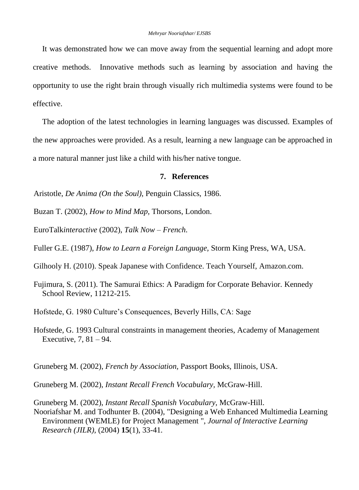It was demonstrated how we can move away from the sequential learning and adopt more creative methods. Innovative methods such as learning by association and having the opportunity to use the right brain through visually rich multimedia systems were found to be effective.

The adoption of the latest technologies in learning languages was discussed. Examples of the new approaches were provided. As a result, learning a new language can be approached in a more natural manner just like a child with his/her native tongue.

### **7. References**

Aristotle, *De Anima (On the Soul)*, Penguin Classics, 1986.

Buzan T. (2002), *How to Mind Map,* Thorsons, London.

EuroTalk*interactive* (2002), *Talk Now – French*.

Fuller G.E. (1987), *How to Learn a Foreign Language,* Storm King Press, WA, USA.

Gilhooly H. (2010). Speak Japanese with Confidence. Teach Yourself, Amazon.com.

Fujimura, S. (2011). The Samurai Ethics: A Paradigm for Corporate Behavior. Kennedy School Review, 11212-215.

Hofstede, G. 1980 Culture's Consequences, Beverly Hills, CA: Sage

Hofstede, G. 1993 Cultural constraints in management theories, Academy of Management Executive, 7, 81 – 94.

Gruneberg M. (2002), *French by Association,* Passport Books, Illinois, USA.

Gruneberg M. (2002), *Instant Recall French Vocabulary,* McGraw-Hill.

Gruneberg M. (2002), *Instant Recall Spanish Vocabulary,* McGraw-Hill. Nooriafshar M. and Todhunter B. (2004), "Designing a Web Enhanced Multimedia Learning Environment (WEMLE) for Project Management ", *Journal of Interactive Learning Research (JILR),* (2004) **15**(1), 33-41*.*